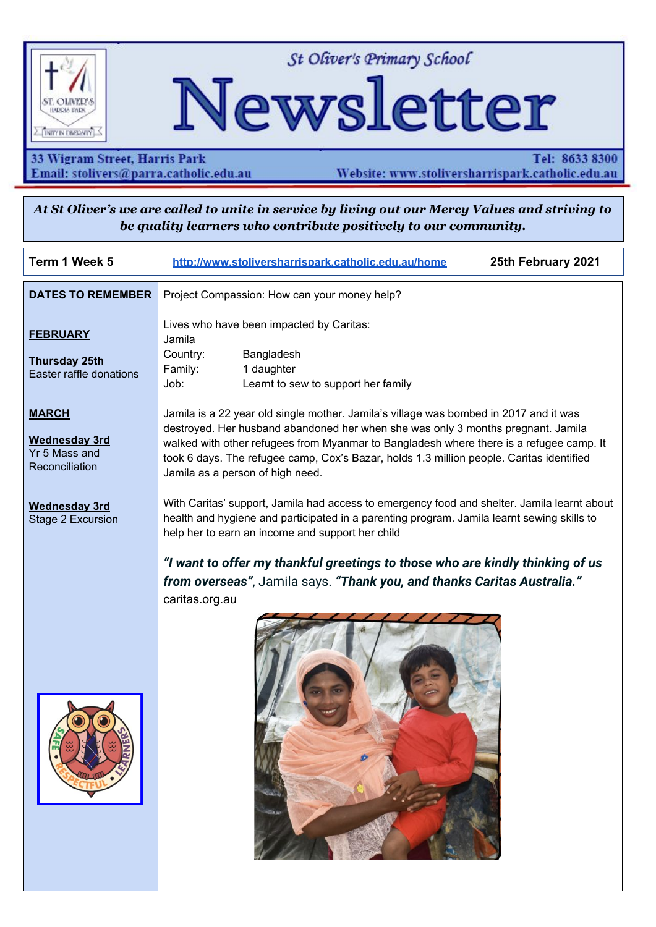

St Oliver's Primary School

# Newsletter

33 Wigram Street, Harris Park Email: stolivers@parra.catholic.edu.au

Tel: 8633 8300 Website: www.stoliversharrispark.catholic.edu.au

At St Oliver's we are called to unite in service by living out our Mercy Values and striving to be quality learners who contribute positively to our community.

| Term 1 Week 5                                                           | 25th February 2021<br>http://www.stoliversharrispark.catholic.edu.au/home                                                                                                                                                                                                                                                                                                                            |  |  |  |  |  |  |
|-------------------------------------------------------------------------|------------------------------------------------------------------------------------------------------------------------------------------------------------------------------------------------------------------------------------------------------------------------------------------------------------------------------------------------------------------------------------------------------|--|--|--|--|--|--|
| <b>DATES TO REMEMBER</b>                                                | Project Compassion: How can your money help?                                                                                                                                                                                                                                                                                                                                                         |  |  |  |  |  |  |
| <b>FEBRUARY</b><br><b>Thursday 25th</b><br>Easter raffle donations      | Lives who have been impacted by Caritas:<br>Jamila<br>Country:<br>Bangladesh<br>Family:<br>1 daughter<br>Job:<br>Learnt to sew to support her family                                                                                                                                                                                                                                                 |  |  |  |  |  |  |
| <b>MARCH</b><br><b>Wednesday 3rd</b><br>Yr 5 Mass and<br>Reconciliation | Jamila is a 22 year old single mother. Jamila's village was bombed in 2017 and it was<br>destroyed. Her husband abandoned her when she was only 3 months pregnant. Jamila<br>walked with other refugees from Myanmar to Bangladesh where there is a refugee camp. It<br>took 6 days. The refugee camp, Cox's Bazar, holds 1.3 million people. Caritas identified<br>Jamila as a person of high need. |  |  |  |  |  |  |
| <b>Wednesday 3rd</b><br>Stage 2 Excursion                               | With Caritas' support, Jamila had access to emergency food and shelter. Jamila learnt about<br>health and hygiene and participated in a parenting program. Jamila learnt sewing skills to<br>help her to earn an income and support her child                                                                                                                                                        |  |  |  |  |  |  |
|                                                                         | "I want to offer my thankful greetings to those who are kindly thinking of us<br>from overseas", Jamila says. "Thank you, and thanks Caritas Australia."<br>caritas.org.au                                                                                                                                                                                                                           |  |  |  |  |  |  |
|                                                                         |                                                                                                                                                                                                                                                                                                                                                                                                      |  |  |  |  |  |  |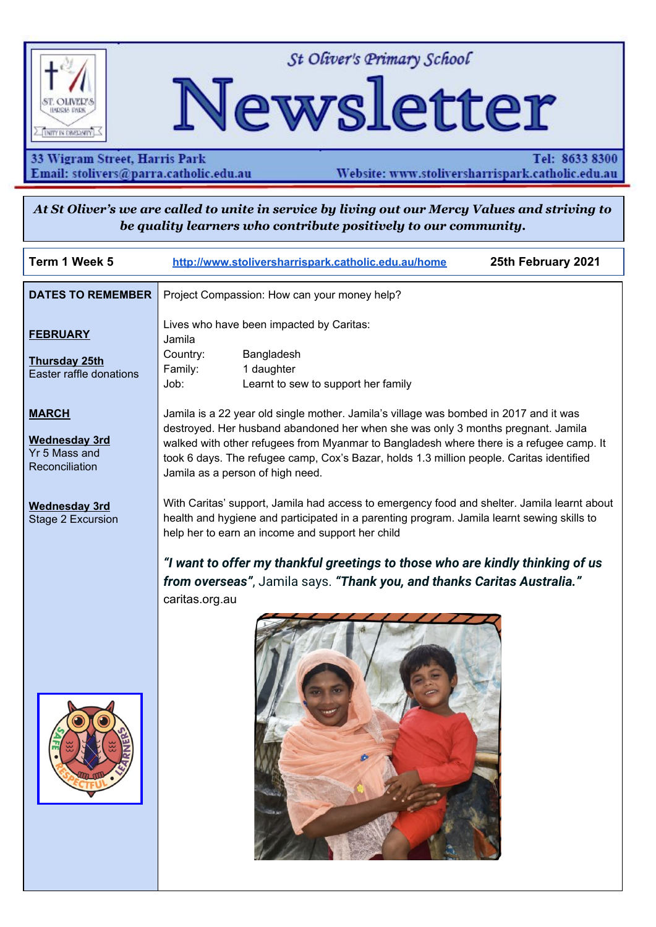#### **Week 1 Lent 21st February**

The Gospel this week at first glance invites us in to the ordeal that Adam and Israel both faced in the Old Testament. Jesus is tempted in the desert, by retracing the steps of Israel being led into the wilderness for **40 DAYS.** The Israelites marched in the desert for 40 years of testing.

In the end of this verse Jesus succeeds where Adam and Israel failed.

You might focus on this success as Jesus' beginning of his campaign against hate, disease and evil in the Scriptures.

When reflecting on this Gospel there will be times when we are tempted, but we know that in Jesus, if we commit ourselves to saying YES to God, we will be fulfilled and repent and believe in the Gospel (repent meaning a 'change of heart').

We are in LENT!

- These 40 days of Lent are a time when we turn back to God and ask for forgiveness.
- In Lent we spend time in prayer and do good works.
- How can we do this during the coming weeks?

#### **ZONE Swimming Wednesday, 17th February 2021**

Congratulations to Ryan, Pierre, Eric, Aiko, Erin, Lili and Mathieu who all competed at the Zone Swimming Carnival.

The team had an amazing day and had lots of fun representing the school at the zone swimming carnival. They also did an excellent job in their races and enjoyed the competition.

#### **PBS4L - Oli News**

**PBS4L Focus - Week 5**



**Oli Star Class**

Congratulations to Yr 6



and feet to ourselves

We are safe by moving slowly and keeping hands

**Enrolments** - are now open for Kindergarten 2022. If you have a child who will turn 5 before the 31st July, 2022, you are welcome to collect an enrolment package from the office and apply for enrolment. If you know of families in the area looking for a quality Catholic education for their child, please let them know that we are currently accepting enrolments.offers for places in our Kindergarten 2022 will begin this term.

#### **Volunteering at St Oliver's**

If you wish to help in any way at St Oliver's (ie Sports carnivals, Fundraising, excursions etc) you will need to complete an online Child Protection module. The module takes about 5 minutes to complete and will send the school an email with your name when completed. It is essential that this is completed before you volunteer to help at St Oliver's.

Please go to: https://www.parra.catholic.edu.au/About-Us/Building-Child-Safe-Communities Then click on:

- BCSC Undertaking Form and Training Module for Volunteers and Contractors
- Start the module

The training is valid for 2 years.

#### **School Fees**

School Fee statements for Term 1 have been posted home to all families. Fees are due by 17th March. If you have not received your statement, please see Mrs Anna Small at the office.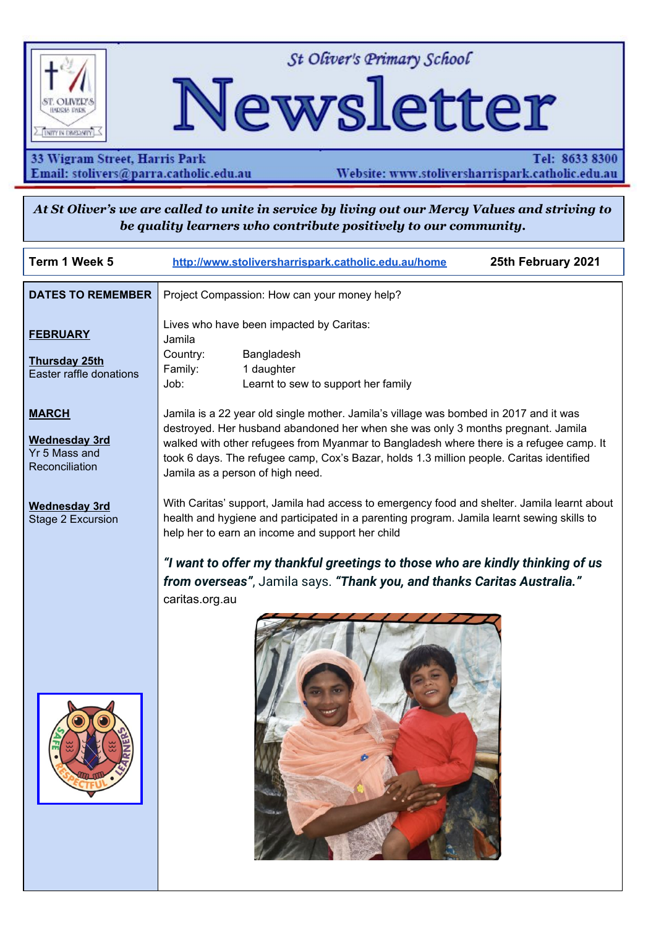## **Focus On Learning**  $\cdot$



The following article comes from the *esafety Commissioner* and has lots of tips and ideas to help our children be safe while gaming online. We will feature it over the next few weeks. The full article can be found at <https://www.esafety.gov.au/parents/big-issues/gaming>

# f  $\Phi$

Online games can be great fun for your child, but make sure you can help them manage the risks. Many games can improve your child's coordination, problem-solving and multi-tasking skills, as well as help build social skills through online interactivity with other players. But it is also important to understand what might go wrong and have a negative impact on your child...

## **J** av 'ego o ap'kr'kA''

- 81% of children aged 8 to 17 have played an online game
- 64% have played a multiplayer online game with others
- 52% have played with people they did not know
- 17% have experienced bullying or abuse while playing a network game with others
- 34% have made an in-game purchase and this rose to 45% when they played a network game with others

## **J** av 'ta'et ge ve'e'inchet 'i co loi 'gpxlt apo gpy'lut '{ awt 'ej lef''

#### Rtgrctg"

- Locate the computer or games console in an open area of your home, or if your child is playing on their handheld device, get them to do it in the family room.
- Install current security software on all devices to protect against viruses, malware and other online threats.
- Activate parental controls and safety features on the device or in the app or browser. These controls can help restrict access to certain content and limit spending on in-game and in-app purchases. See our advice on [taming](https://www.esafety.gov.au/parents/skills-advice/taming-technology) the [technology.](https://www.esafety.gov.au/parents/skills-advice/taming-technology)

## I

 $^{\bullet}$ 

#### **Dwkf** '**i** qqf '**j** cdku''

- Help your child to protect their privacy online get them to use a screen name that does not reveal their real name.
- Teach your child not to click on links provided by strangers, like 'cheat' programs to help with game play, which might expose their device to viruses or malware.
- Agree on strategies to help them to switch off, like a timer that signals game time is nearly over, with consequences for not switching off.

## Uxc{'lpxqnxgf''

 $\mathbf{u}$  and  $\mathbf{u}$ 

- Talk regularly with your child about their gaming interests and who they play with online. Help them understand the risks.
- Play alongside your child to get a better sense of how they are handling their personal information and who they are communicating with.
- Monitor the time your child spends online and keep a lookout for any changes in their activity, school or social behaviours.
- Encourage your child to tell you if they experience anything that worries them or makes them uncomfortable.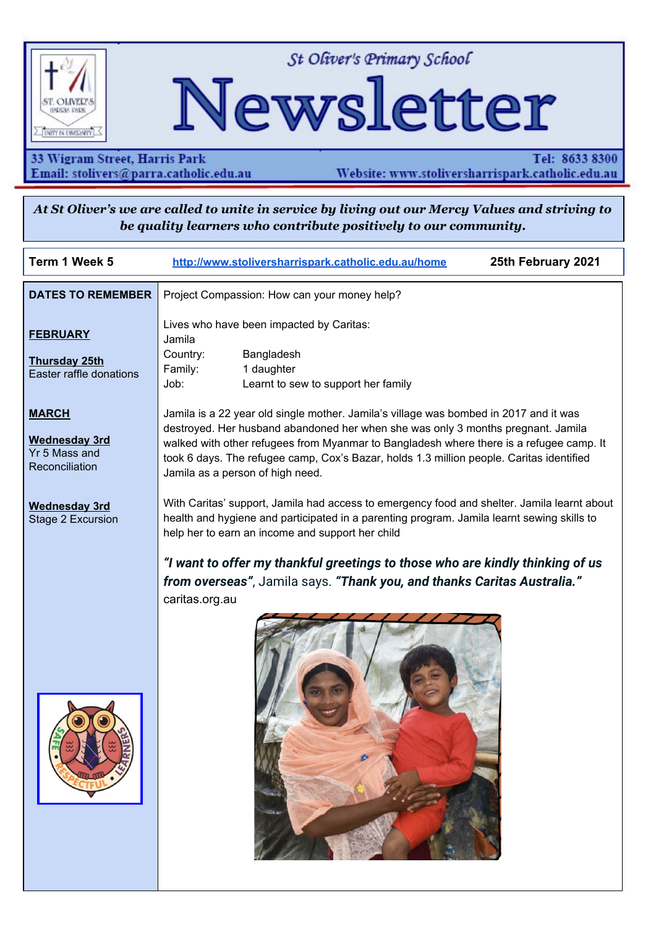

#### $\mathbf{D}$ g'ey etg'qh'y j ev'y g{ 'etg'r ne { lpi ''

- Games vary in their level of violent or sexual content, and may contain themes, language and images that are unsuitable for your child.
- You can check the age guidelines and classification for an individual game on its website or product packaging, or from the Australian [Classification](http://www.classification.gov.au/Pages/Home.aspx) Board's public database.
- The Australian Classification Board also has useful [information](https://www.classification.gov.au/classification-ratings/whats-ok-for-children/does-your-child-play-violent-video-games) on violent video games to help parents and their children decide what video games are appropriate for them.
- Useful information about games ratings can also be obtained from the Pan European Game [Information](https://pegi.info/) (PEGI) and the US [Entertainment](http://www.esrb.org/) Software Rating Board (ESRB).
- Review sites can also be a good source of information about age appropriate content check out the [Australian](https://childrenandmedia.org.au/) Council on [Children](https://childrenandmedia.org.au/) and the Media, Kiwi [Families](https://www.kiwifamilies.co.nz/) (NZ), [Common](https://www.commonsensemedia.org/) Sense Media (US), [Parents'](http://www.parents-choice.org/) Choice (US) and Ask About [Games](http://www.askaboutgames.com/) (UK).

#### $\cdot$

I

#### Go rqy gt'{ qwt'ej kf"

- Wherever possible, help them make wise decisions for themselves, rather than tell them what to do.
- Try to provide them with strategies for dealing with negative online experiences that will build their confidence and resilience.

Our online [gaming](https://www.esafety.gov.au/young-people/online-gaming) advice for young people may be a good starting point.

\*Next week we will continue the article with tips for knowing if your child is spending too much time online gaming, grooming and bullying through online gaming chat and online purchases etc

Full article can be found at <https://www.esafety.gov.au/parents/big-issues/gaming>



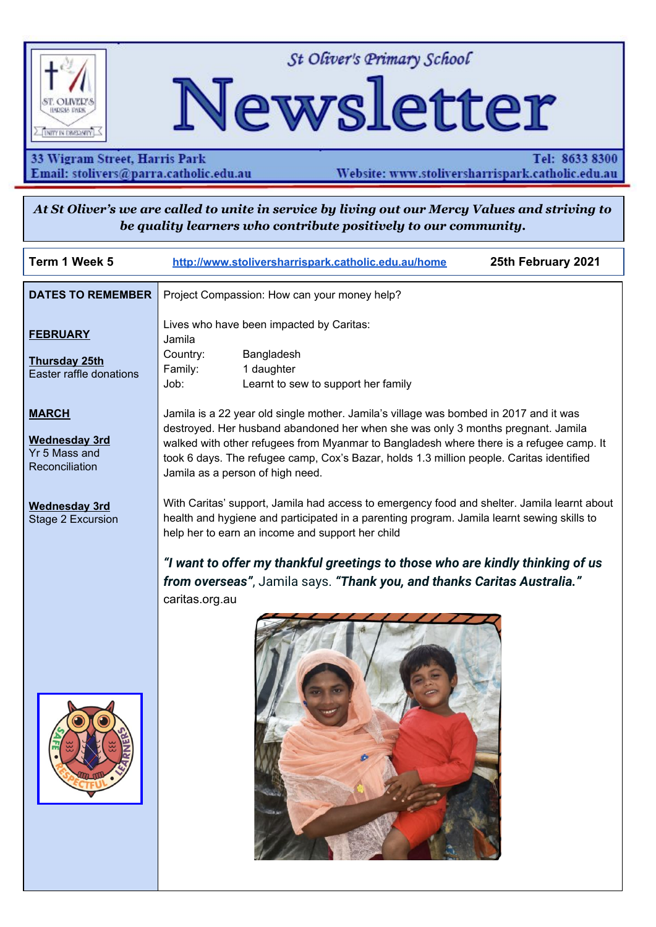

22 February 2021

Dear parents and carers

Please find below the Annual Diocesan fees schedule for 2021. The fees remained unchanged from 2020, a reflection of Bishop Vincent Long's aim of making our Catholic schools as affordable as possible for families.

School-based fees have also remained unchanged. School-based fees cover the costs of things such as technology and school administration.

School fees are generally billed in instalments during Terms 1, 2 and 3. The fee is made up of three main parts:

#### $1.$ **Diocesan tuition fee**

These are set by Catholic Education Diocese of Parramatta and are the same for every school. There are significant sibling discounts for families with more than one child at a Catholic Education Diocese of Parramatta school (it does not have to be the same school).

Those discounts and a list of the annual Diocesan tuition fees for 2021 are outlined below 2021 Diocesan tuition fee schedule (per year)

|                 | 1 <sup>st</sup> child<br>$(100\%)$ | 2 <sup>nd</sup> child<br>(75%) | 3rd child<br>$(50\%)$ | 4 <sup>th</sup> Child<br>(0%) |
|-----------------|------------------------------------|--------------------------------|-----------------------|-------------------------------|
| Kindergarten    | \$1,224                            | \$918                          | \$612                 | No fee                        |
| Years $1-6$     | \$1,581                            | \$1,185                        | \$792                 | No fee                        |
| Years $7 - 8$   | \$2,190                            | \$1,644                        | \$1,095               | No fee                        |
| Years $9 - 10$  | \$2,430                            | \$1,824                        | \$1,215               | No fee                        |
| Years $11 - 12$ | \$3,102                            | \$2,328                        | \$1,551               | No fee                        |

Bethamy Centre 470 Church Street Parramatta NSW 2150 Locked Bag 4 North Parramatta NSW 1750 9840 5600 www.parra.catholic.edu.au